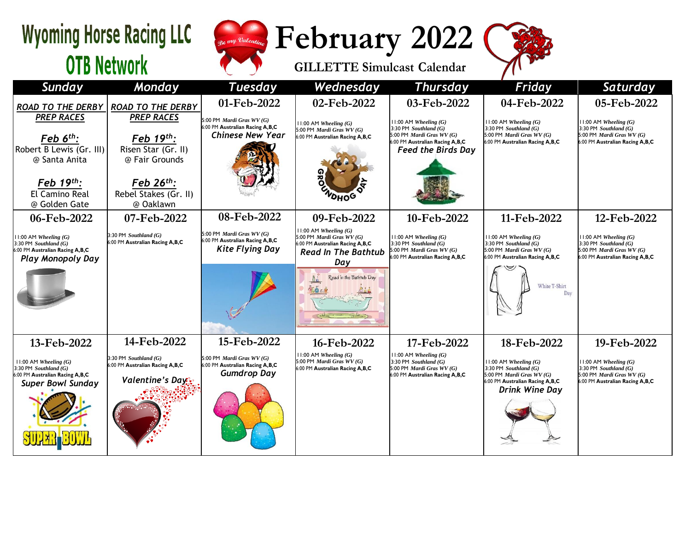| <b>Wyoming Horse Racing LLC</b>                                                                                     |                                                                                 | <b>February 2022</b><br><sub>Re</sub> my Valentino                                      |                                                                                                                               |                                                                                                                               |                                                                                                                              |                                                                                                                      |  |  |
|---------------------------------------------------------------------------------------------------------------------|---------------------------------------------------------------------------------|-----------------------------------------------------------------------------------------|-------------------------------------------------------------------------------------------------------------------------------|-------------------------------------------------------------------------------------------------------------------------------|------------------------------------------------------------------------------------------------------------------------------|----------------------------------------------------------------------------------------------------------------------|--|--|
| <b>OTB Network</b>                                                                                                  |                                                                                 |                                                                                         | <b>GILLETTE Simulcast Calendar</b>                                                                                            |                                                                                                                               |                                                                                                                              |                                                                                                                      |  |  |
| <b>Sunday</b>                                                                                                       | Monday                                                                          | <b>Tuesday</b>                                                                          | Wednesday                                                                                                                     | <b>Thursday</b>                                                                                                               | Friday                                                                                                                       | Saturday                                                                                                             |  |  |
| <b>ROAD TO THE DERBY</b>                                                                                            | <b>ROAD TO THE DERBY</b>                                                        | 01-Feb-2022                                                                             | 02-Feb-2022                                                                                                                   | 03-Feb-2022                                                                                                                   | 04-Feb-2022                                                                                                                  | 05-Feb-2022                                                                                                          |  |  |
| <b>PREP RACES</b><br><u>Feb 6<sup>th</sup>:</u>                                                                     | <b>PREP RACES</b><br>Feb 19th:                                                  | 5:00 PM Mardi Gras WV (G)<br>6:00 PM Australian Racing A,B,C<br><b>Chinese New Year</b> | $11:00$ AM Wheeling $(G)$<br>5:00 PM <i>Mardi Gras WV</i> $(G)$<br>6:00 PM Australian Racing A, B, C                          | $11:00$ AM Wheeling $(G)$<br>3:30 PM Southland $(G)$<br>5:00 PM Mardi Gras WV (G)                                             | $11:00$ AM Wheeling $(G)$<br>$3:30$ PM Southland $(G)$<br>5:00 PM Mardi Gras WV (G)                                          | 11:00 AM Wheeling $(G)$<br>3:30 PM Southland $(G)$<br>5:00 PM Mardi Gras WV (G)                                      |  |  |
| Robert B Lewis (Gr. III)<br>@ Santa Anita                                                                           | Risen Star (Gr. II)<br>@ Fair Grounds                                           |                                                                                         |                                                                                                                               | 6:00 PM Australian Racing A,B,C<br><b>Feed the Birds Day</b>                                                                  | 6:00 PM Australian Racing A,B,C                                                                                              | 6:00 PM Australian Racing A,B,C                                                                                      |  |  |
| Feb $19th$ :<br>El Camino Real<br>@ Golden Gate                                                                     | $Feb 26th$ :<br>Rebel Stakes (Gr. II)<br>@ Oaklawn                              |                                                                                         | <b>VOHOG</b>                                                                                                                  |                                                                                                                               |                                                                                                                              |                                                                                                                      |  |  |
| 06-Feb-2022                                                                                                         | 07-Feb-2022                                                                     | 08-Feb-2022                                                                             | 09-Feb-2022                                                                                                                   | 10-Feb-2022                                                                                                                   | 11-Feb-2022                                                                                                                  | 12-Feb-2022                                                                                                          |  |  |
| $11:00$ AM Wheeling $(G)$<br>3:30 PM Southland $(G)$<br>6:00 PM Australian Racing A,B,C<br><b>Play Monopoly Day</b> | $3:30$ PM Southland $(G)$<br>6:00 PM Australian Racing A,B,C                    | 5:00 PM Mardi Gras WV (G)<br>6:00 PM Australian Racing A,B,C<br><b>Kite Flying Day</b>  | $11:00$ AM Wheeling $(G)$<br>5:00 PM Mardi Gras WV (G)<br>:00 PM Australian Racing A,B,C<br><b>Read In The Bathtub</b><br>Day | $11:00$ AM Wheeling $(G)$<br>3:30 PM Southland $(G)$<br>5:00 PM Mardi Gras WV (G)<br>6:00 PM Australian Racing A,B,C          | $11:00$ AM Wheeling $(G)$<br>$3:30$ PM Southland $(G)$<br>5:00 PM Mardi Gras WV (G)<br>6:00 PM Australian Racing A,B,C       | $11:00$ AM Wheeling $(G)$<br>3:30 PM Southland $(G)$<br>5:00 PM Mardi Gras WV (G)<br>6:00 PM Australian Racing A,B,C |  |  |
|                                                                                                                     |                                                                                 |                                                                                         | Read in the Bathtub Day                                                                                                       |                                                                                                                               | White T-Shirt<br>Day                                                                                                         |                                                                                                                      |  |  |
| 13-Feb-2022                                                                                                         | 14-Feb-2022                                                                     | 15-Feb-2022                                                                             | 16-Feb-2022                                                                                                                   | 17-Feb-2022                                                                                                                   | 18-Feb-2022                                                                                                                  | 19-Feb-2022                                                                                                          |  |  |
| $11:00$ AM Wheeling $(G)$<br>3:30 PM Southland $(G)$<br>6:00 PM Australian Racing A,B,C<br>Super Rowl Sunday        | 3:30 PM Southland $(G)$<br>6:00 PM Australian Racing A,B,C<br>Valentine's Day's | 5:00 PM Mardi Gras WV (G)<br>6:00 PM Australian Racing A,B,C<br><b>Gumdrop Day</b>      | $11:00$ AM Wheeling $(G)$<br>5:00 PM Mardi Gras WV (G)<br>6:00 PM Australian Racing A,B,C                                     | $11:00$ AM Wheeling $(G)$<br>3:30 PM Southland $(G)$<br>5:00 PM <i>Mardi Gras WV</i> $(G)$<br>6:00 PM Australian Racing A,B,C | $1:00$ AM Wheeling $(G)$<br>$3:30$ PM Southland $(G)$<br>5:00 PM <i>Mardi Gras WV (G)</i><br>6:00 PM Australian Racing A,B,C | $11:00$ AM Wheeling $(G)$<br>3:30 PM Southland $(G)$<br>5:00 PM Mardi Gras WV (G)<br>6:00 PM Australian Racing A,B,C |  |  |

*Drink Wine Day*

*Super Bowl Sunday*